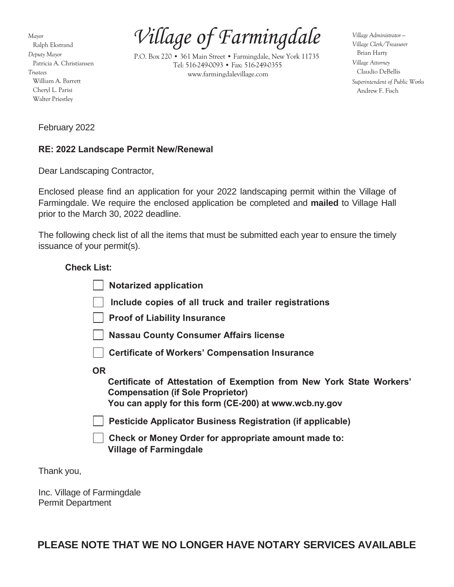*Mayor* Ralph Ekstrand *Deputy Mayor* Patricia A. Christiansen *Trustees* William A. Barrett Cheryl L. Parisi Walter Priestley

*Village of Farmingdale*

P.O. Box 220 • 361 Main Street • Farmingdale, New York 11735 Tel: 516-249-0093 • Fax: 516-249-0355 [www.farmingdalevillage.com](http://www.farmingdalevillage.com/)

*Village Administrator — Village Clerk/Treasurer* Brian Harty *Village Attorney* Claudio DeBellis *Superintendent of Public Works* Andrew F. Fisch

February 2022

# **RE: 2022 Landscape Permit New/Renewal**

Dear Landscaping Contractor,

Enclosed please find an application for your 2022 landscaping permit within the Village of Farmingdale. We require the enclosed application be completed and **mailed** to Village Hall prior to the March 30, 2022 deadline.

The following check list of all the items that must be submitted each year to ensure the timely issuance of your permit(s).

# **Check List:**

| <b>Notarized application</b>                                                                                                                                                            |
|-----------------------------------------------------------------------------------------------------------------------------------------------------------------------------------------|
| Include copies of all truck and trailer registrations                                                                                                                                   |
| <b>Proof of Liability Insurance</b>                                                                                                                                                     |
| <b>Nassau County Consumer Affairs license</b>                                                                                                                                           |
| <b>Certificate of Workers' Compensation Insurance</b>                                                                                                                                   |
| <b>OR</b><br>Certificate of Attestation of Exemption from New York State Workers'<br><b>Compensation (if Sole Proprietor)</b><br>You can apply for this form (CE-200) at www.wcb.ny.gov |
| <b>Pesticide Applicator Business Registration (if applicable)</b>                                                                                                                       |
| Check or Money Order for appropriate amount made to:<br><b>Village of Farmingdale</b>                                                                                                   |

Thank you,

Inc. Village of Farmingdale Permit Department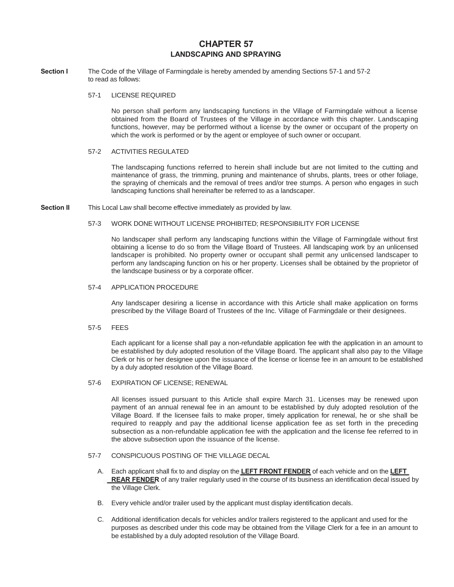# **CHAPTER 57 LANDSCAPING AND SPRAYING**

**Section I** The Code of the Village of Farmingdale is hereby amended by amending Sections 57-1 and 57-2 to read as follows:

# 57-1 LICENSE REQUIRED

No person shall perform any landscaping functions in the Village of Farmingdale without a license obtained from the Board of Trustees of the Village in accordance with this chapter. Landscaping functions, however, may be performed without a license by the owner or occupant of the property on which the work is performed or by the agent or employee of such owner or occupant.

## 57-2 ACTIVITIES REGULATED

The landscaping functions referred to herein shall include but are not limited to the cutting and maintenance of grass, the trimming, pruning and maintenance of shrubs, plants, trees or other foliage, the spraying of chemicals and the removal of trees and/or tree stumps. A person who engages in such landscaping functions shall hereinafter be referred to as a landscaper.

**Section II** This Local Law shall become effective immediately as provided by law.

#### 57-3 WORK DONE WITHOUT LICENSE PROHIBITED; RESPONSIBILITY FOR LICENSE

No landscaper shall perform any landscaping functions within the Village of Farmingdale without first obtaining a license to do so from the Village Board of Trustees. All landscaping work by an unlicensed landscaper is prohibited. No property owner or occupant shall permit any unlicensed landscaper to perform any landscaping function on his or her property. Licenses shall be obtained by the proprietor of the landscape business or by a corporate officer.

#### 57-4 APPLICATION PROCEDURE

Any landscaper desiring a license in accordance with this Article shall make application on forms prescribed by the Village Board of Trustees of the Inc. Village of Farmingdale or their designees.

## 57-5 FEES

Each applicant for a license shall pay a non-refundable application fee with the application in an amount to be established by duly adopted resolution of the Village Board. The applicant shall also pay to the Village Clerk or his or her designee upon the issuance of the license or license fee in an amount to be established by a duly adopted resolution of the Village Board.

# 57-6 EXPIRATION OF LICENSE; RENEWAL

All licenses issued pursuant to this Article shall expire March 31. Licenses may be renewed upon payment of an annual renewal fee in an amount to be established by duly adopted resolution of the Village Board. If the licensee fails to make proper, timely application for renewal, he or she shall be required to reapply and pay the additional license application fee as set forth in the preceding subsection as a non-refundable application fee with the application and the license fee referred to in the above subsection upon the issuance of the license.

## 57-7 CONSPICUOUS POSTING OF THE VILLAGE DECAL

- A. Each applicant shall fix to and display on the **LEFT FRONT FENDER** of each vehicle and on the **LEFT REAR FENDER** of any trailer regularly used in the course of its business an identification decal issued by the Village Clerk.
- B. Every vehicle and/or trailer used by the applicant must display identification decals.
- C. Additional identification decals for vehicles and/or trailers registered to the applicant and used for the purposes as described under this code may be obtained from the Village Clerk for a fee in an amount to be established by a duly adopted resolution of the Village Board.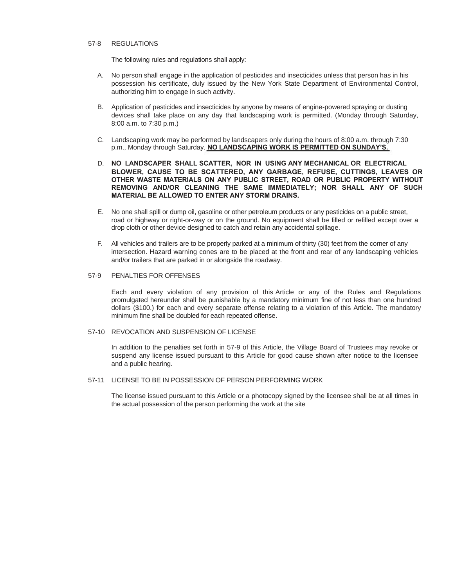## 57-8 REGULATIONS

The following rules and regulations shall apply:

- A. No person shall engage in the application of pesticides and insecticides unless that person has in his possession his certificate, duly issued by the New York State Department of Environmental Control, authorizing him to engage in such activity.
- B. Application of pesticides and insecticides by anyone by means of engine-powered spraying or dusting devices shall take place on any day that landscaping work is permitted. (Monday through Saturday, 8:00 a.m. to 7:30 p.m.)
- C. Landscaping work may be performed by landscapers only during the hours of 8:00 a.m. through 7:30 p.m., Monday through Saturday. **NO LANDSCAPING WORK IS PERMITTED ON SUNDAY'S.**
- D. **NO LANDSCAPER SHALL SCATTER, NOR IN USING ANY MECHANICAL OR ELECTRICAL BLOWER, CAUSE TO BE SCATTERED, ANY GARBAGE, REFUSE, CUTTINGS, LEAVES OR OTHER WASTE MATERIALS ON ANY PUBLIC STREET, ROAD OR PUBLIC PROPERTY WITHOUT REMOVING AND/OR CLEANING THE SAME IMMEDIATELY; NOR SHALL ANY OF SUCH MATERIAL BE ALLOWED TO ENTER ANY STORM DRAINS.**
- E. No one shall spill or dump oil, gasoline or other petroleum products or any pesticides on a public street, road or highway or right-or-way or on the ground. No equipment shall be filled or refilled except over a drop cloth or other device designed to catch and retain any accidental spillage.
- F. All vehicles and trailers are to be properly parked at a minimum of thirty (30) feet from the corner of any intersection. Hazard warning cones are to be placed at the front and rear of any landscaping vehicles and/or trailers that are parked in or alongside the roadway.

## 57-9 PENALTIES FOR OFFENSES

Each and every violation of any provision of this Article or any of the Rules and Regulations promulgated hereunder shall be punishable by a mandatory minimum fine of not less than one hundred dollars (\$100.) for each and every separate offense relating to a violation of this Article. The mandatory minimum fine shall be doubled for each repeated offense.

## 57-10 REVOCATION AND SUSPENSION OF LICENSE

In addition to the penalties set forth in 57-9 of this Article, the Village Board of Trustees may revoke or suspend any license issued pursuant to this Article for good cause shown after notice to the licensee and a public hearing.

57-11 LICENSE TO BE IN POSSESSION OF PERSON PERFORMING WORK

The license issued pursuant to this Article or a photocopy signed by the licensee shall be at all times in the actual possession of the person performing the work at the site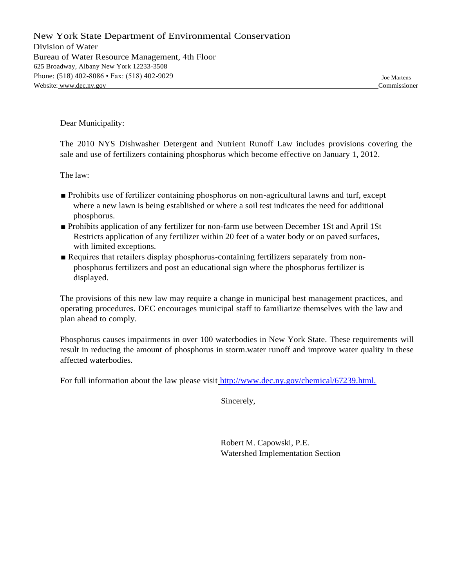New York State Department of Environmental Conservation Division of Water Bureau of Water Resource Management, 4th Floor 625 Broadway, Albany New York 12233-3508 Phone: (518) 402-8086 • Fax: (518) 402-9029 Joe Martens Website: [www.dec.ny.gov](http://www.dec.ny.gov/) Commissioner

Dear Municipality:

The 2010 NYS Dishwasher Detergent and Nutrient Runoff Law includes provisions covering the sale and use of fertilizers containing phosphorus which become effective on January 1, 2012.

The law:

- Prohibits use of fertilizer containing phosphorus on non-agricultural lawns and turf, except where a new lawn is being established or where a soil test indicates the need for additional phosphorus.
- Prohibits application of any fertilizer for non-farm use between December 1St and April 1St Restricts application of any fertilizer within 20 feet of a water body or on paved surfaces, with limited exceptions.
- Requires that retailers display phosphorus-containing fertilizers separately from nonphosphorus fertilizers and post an educational sign where the phosphorus fertilizer is displayed.

The provisions of this new law may require a change in municipal best management practices, and operating procedures. DEC encourages municipal staff to familiarize themselves with the law and plan ahead to comply.

Phosphorus causes impairments in over 100 waterbodies in New York State. These requirements will result in reducing the amount of phosphorus in storm.water runoff and improve water quality in these affected waterbodies.

For full information about the law please visit http://www.dec.ny.gov/chemical/67239.html.

Sincerely,

Robert M. Capowski, P.E. Watershed Implementation Section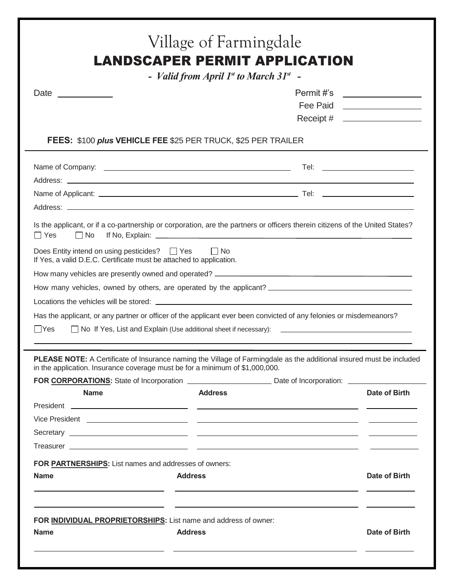| Date ______________                                                                                                                                                                                  | - Valid from April $1st$ to March 31 $st$ -                                                                             |                                                                  |
|------------------------------------------------------------------------------------------------------------------------------------------------------------------------------------------------------|-------------------------------------------------------------------------------------------------------------------------|------------------------------------------------------------------|
|                                                                                                                                                                                                      |                                                                                                                         | Permit #'s __________________<br>Fee Paid <u>_______________</u> |
| <b>FEES: \$100 plus VEHICLE FEE \$25 PER TRUCK, \$25 PER TRAILER</b>                                                                                                                                 |                                                                                                                         |                                                                  |
|                                                                                                                                                                                                      |                                                                                                                         |                                                                  |
|                                                                                                                                                                                                      |                                                                                                                         |                                                                  |
| Is the applicant, or if a co-partnership or corporation, are the partners or officers therein citizens of the United States?<br>$\Box$ Yes<br>$\Box$ No                                              |                                                                                                                         |                                                                  |
| Does Entity intend on using pesticides? □ Yes<br>If Yes, a valid D.E.C. Certificate must be attached to application.                                                                                 | l INo                                                                                                                   |                                                                  |
|                                                                                                                                                                                                      |                                                                                                                         |                                                                  |
|                                                                                                                                                                                                      |                                                                                                                         |                                                                  |
|                                                                                                                                                                                                      |                                                                                                                         |                                                                  |
| Has the applicant, or any partner or officer of the applicant ever been convicted of any felonies or misdemeanors?                                                                                   |                                                                                                                         |                                                                  |
| <b>PYes</b>                                                                                                                                                                                          |                                                                                                                         |                                                                  |
|                                                                                                                                                                                                      |                                                                                                                         |                                                                  |
| PLEASE NOTE: A Certificate of Insurance naming the Village of Farmingdale as the additional insured must be included<br>in the application. Insurance coverage must be for a minimum of \$1,000,000. |                                                                                                                         |                                                                  |
|                                                                                                                                                                                                      |                                                                                                                         |                                                                  |
| <b>Name</b>                                                                                                                                                                                          | <b>Address</b>                                                                                                          | Date of Birth                                                    |
|                                                                                                                                                                                                      |                                                                                                                         |                                                                  |
|                                                                                                                                                                                                      |                                                                                                                         |                                                                  |
|                                                                                                                                                                                                      |                                                                                                                         |                                                                  |
|                                                                                                                                                                                                      |                                                                                                                         |                                                                  |
| FOR PARTNERSHIPS: List names and addresses of owners:                                                                                                                                                |                                                                                                                         |                                                                  |
| <b>Name</b><br><b>Address</b>                                                                                                                                                                        |                                                                                                                         | Date of Birth                                                    |
|                                                                                                                                                                                                      |                                                                                                                         |                                                                  |
| FOR INDIVIDUAL PROPRIETORSHIPS: List name and address of owner:                                                                                                                                      | <u> 1999 - Johann Harry Harry Harry Harry Harry Harry Harry Harry Harry Harry Harry Harry Harry Harry Harry Harry H</u> |                                                                  |
| <b>Name</b><br><b>Address</b>                                                                                                                                                                        |                                                                                                                         | Date of Birth                                                    |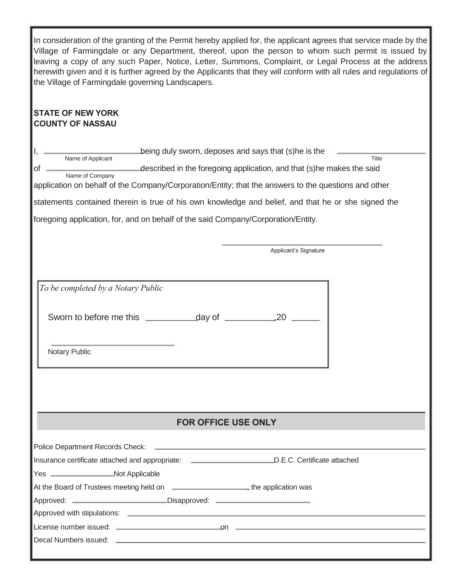| In consideration of the granting of the Permit hereby applied for, the applicant agrees that service made by the<br>Village of Farmingdale or any Department, thereof, upon the person to whom such permit is issued by<br>leaving a copy of any such Paper, Notice, Letter, Summons, Complaint, or Legal Process at the address<br>herewith given and it is further agreed by the Applicants that they will conform with all rules and regulations of<br>the Village of Farmingdale governing Landscapers. |
|-------------------------------------------------------------------------------------------------------------------------------------------------------------------------------------------------------------------------------------------------------------------------------------------------------------------------------------------------------------------------------------------------------------------------------------------------------------------------------------------------------------|
| <b>STATE OF NEW YORK</b><br><b>COUNTY OF NASSAU</b>                                                                                                                                                                                                                                                                                                                                                                                                                                                         |
| being duly sworn, deposes and says that (s) he is the<br>Name of Applicant<br>Title                                                                                                                                                                                                                                                                                                                                                                                                                         |
| described in the foregoing application, and that (s) he makes the said<br>of<br>Name of Company                                                                                                                                                                                                                                                                                                                                                                                                             |
| application on behalf of the Company/Corporation/Entity; that the answers to the questions and other                                                                                                                                                                                                                                                                                                                                                                                                        |
| statements contained therein is true of his own knowledge and belief, and that he or she signed the                                                                                                                                                                                                                                                                                                                                                                                                         |
| foregoing application, for, and on behalf of the said Company/Corporation/Entity.                                                                                                                                                                                                                                                                                                                                                                                                                           |
|                                                                                                                                                                                                                                                                                                                                                                                                                                                                                                             |
| Applicant's Signature                                                                                                                                                                                                                                                                                                                                                                                                                                                                                       |
|                                                                                                                                                                                                                                                                                                                                                                                                                                                                                                             |
| To be completed by a Notary Public<br>$\sim$ $\sim$ $\sim$ $\sim$ $\sim$ $\sim$ $\sim$ $\sim$                                                                                                                                                                                                                                                                                                                                                                                                               |
| Notary Public                                                                                                                                                                                                                                                                                                                                                                                                                                                                                               |
| <b>FOR OFFICE USE ONLY</b>                                                                                                                                                                                                                                                                                                                                                                                                                                                                                  |
| Police Department Records Check: National Accords of the Check of the Check of the Check of the Check of the Check of the Check of the Check of the Check of the Check of the Check of the Check of the Check of the Check of                                                                                                                                                                                                                                                                               |
| Insurance certificate attached and appropriate: D.E.C. Certificate attached                                                                                                                                                                                                                                                                                                                                                                                                                                 |
| Yes _______________________Not Applicable                                                                                                                                                                                                                                                                                                                                                                                                                                                                   |
| At the Board of Trustees meeting held on <b>Commission</b> , the application was                                                                                                                                                                                                                                                                                                                                                                                                                            |
| Approved: 2000 Disapproved: 2000 Disapproved: 2000 Disapproved: 2000 Disapproved: 2000 Disapproved: 2000 Disapproved:                                                                                                                                                                                                                                                                                                                                                                                       |
| Approved with stipulations: <b>Engine and Service Contract and Service Contract and Service Contract Approved With Stipulations:</b>                                                                                                                                                                                                                                                                                                                                                                        |
| Decal Numbers issued: <u>example and the set of the set of the set of the set of the set of the set of the set of the set of the set of the set of the set of the set of the set of the set of the set of the set of the set of </u>                                                                                                                                                                                                                                                                        |
|                                                                                                                                                                                                                                                                                                                                                                                                                                                                                                             |